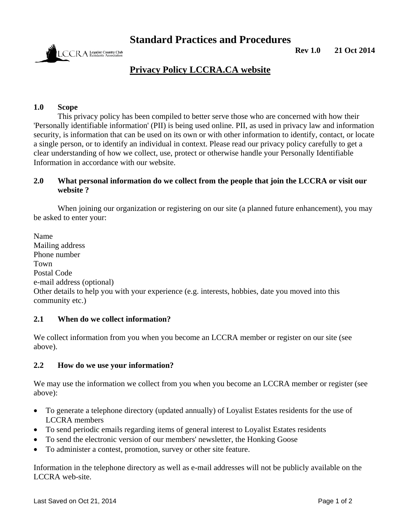**Standard Practices and Procedures** 



**Rev 1.0 21 Oct 2014** 

# **Privacy Policy LCCRA.CA website**

## **1.0 Scope**

This privacy policy has been compiled to better serve those who are concerned with how their 'Personally identifiable information' (PII) is being used online. PII, as used in privacy law and information security, is information that can be used on its own or with other information to identify, contact, or locate a single person, or to identify an individual in context. Please read our privacy policy carefully to get a clear understanding of how we collect, use, protect or otherwise handle your Personally Identifiable Information in accordance with our website.

## **2.0 What personal information do we collect from the people that join the LCCRA or visit our website ?**

When joining our organization or registering on our site (a planned future enhancement), you may be asked to enter your:

Name Mailing address Phone number Town Postal Code e-mail address (optional) Other details to help you with your experience (e.g. interests, hobbies, date you moved into this community etc.)

#### **2.1 When do we collect information?**

We collect information from you when you become an LCCRA member or register on our site (see above).

#### **2.2 How do we use your information?**

We may use the information we collect from you when you become an LCCRA member or register (see above):

- To generate a telephone directory (updated annually) of Loyalist Estates residents for the use of LCCRA members
- To send periodic emails regarding items of general interest to Loyalist Estates residents
- To send the electronic version of our members' newsletter, the Honking Goose
- To administer a contest, promotion, survey or other site feature.

Information in the telephone directory as well as e-mail addresses will not be publicly available on the LCCRA web-site.